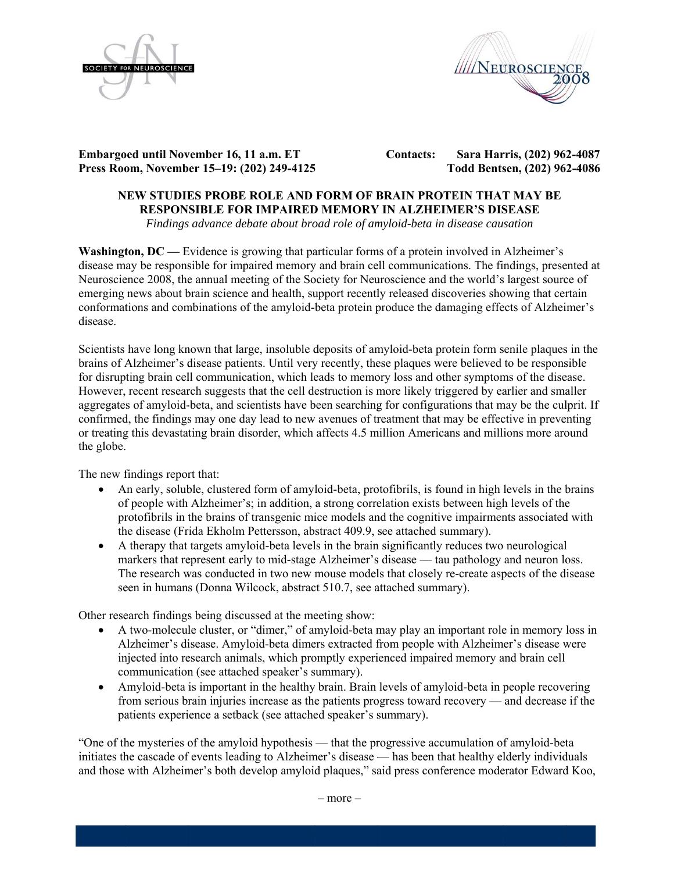



**Embargoed until November 16, 11 a.m. ET Press Roo om, Novemb er 15–19: (20 02) 249-4125 5**   **Contacts: Sara Har rris, (202) 962 2-4087 Todd Bents sen, (202) 96 2-4086** 

# **NEW STUDIES PROBE ROLE AND FORM OF BRAIN PROTEIN THAT MAY BE RESPON SIBLE FOR R IMPAIRED D MEMORY Y IN ALZHE EIMER'S DIS SEASE**

Findings advance debate about broad role of amyloid-beta in disease causation

**Washington, DC** — Evidence is growing that particular forms of a protein involved in Alzheimer's disease may be responsible for impaired memory and brain cell communications. The findings, presented at Neuroscience 2008, the annual meeting of the Society for Neuroscience and the world's largest source of emerging news about brain science and health, support recently released discoveries showing that certain conformations and combinations of the amyloid-beta protein produce the damaging effects of Alzheimer's disease.

Scientists have long known that large, insoluble deposits of amyloid-beta protein form senile plaques in the brains of Alzheimer's disease patients. Until very recently, these plaques were believed to be responsible for disrupting brain cell communication, which leads to memory loss and other symptoms of the disease. However, recent research suggests that the cell destruction is more likely triggered by earlier and smaller aggregates of amyloid-beta, and scientists have been searching for configurations that may be the culprit. If confirmed, the findings may one day lead to new avenues of treatment that may be effective in preventing or treating this devastating brain disorder, which affects 4.5 million Americans and millions more around the globe.

The new findings report that:

- An early, soluble, clustered form of amyloid-beta, protofibrils, is found in high levels in the brains of people with Alzheimer's; in addition, a strong correlation exists between high levels of the of people with Alzheimer's; in addition, a strong correlation exists between high levels of the protofibrils in the brains of transgenic mice models and the cognitive impairments associated with th he disease (Fr ida Ekholm P Pettersson, ab stract 409.9, see attached s summary).
- A therapy that targets amyloid-beta levels in the brain significantly reduces two neurological A therapy that targets amyloid-beta levels in the brain significantly reduces two neurological markers that represent early to mid-stage Alzheimer's disease — tau pathology and neuron loss. The research was conducted in two new mouse models that closely re-create aspects of the disease seen in humans (Donna Wilcock, abstract 510.7, see attached summary).

Other research findings being discussed at the meeting show:

- A two-molecule cluster, or "dimer," of amyloid-beta may play an important role in memory loss in Alzheimer's disease. Amyloid-beta dimers extracted from people with Alzheimer's disease were injected into research animals, which promptly experienced impaired memory and brain cell communication (see attached speaker's summary).
- Amyloid-beta is important in the healthy brain. Brain levels of amyloid-beta in people recovering from serious brain injuries increase as the patients progress toward recovery — and decrease if the patients experience a setback (see attached speaker's summary).

"One of the mysteries of the amyloid hypothesis — that the progressive accumulation of amyloid-beta initiates the cascade of events leading to Alzheimer's disease — has been that healthy elderly individuals and those with Alzheimer's both develop amyloid plaques," said press conference moderator Edward Koo,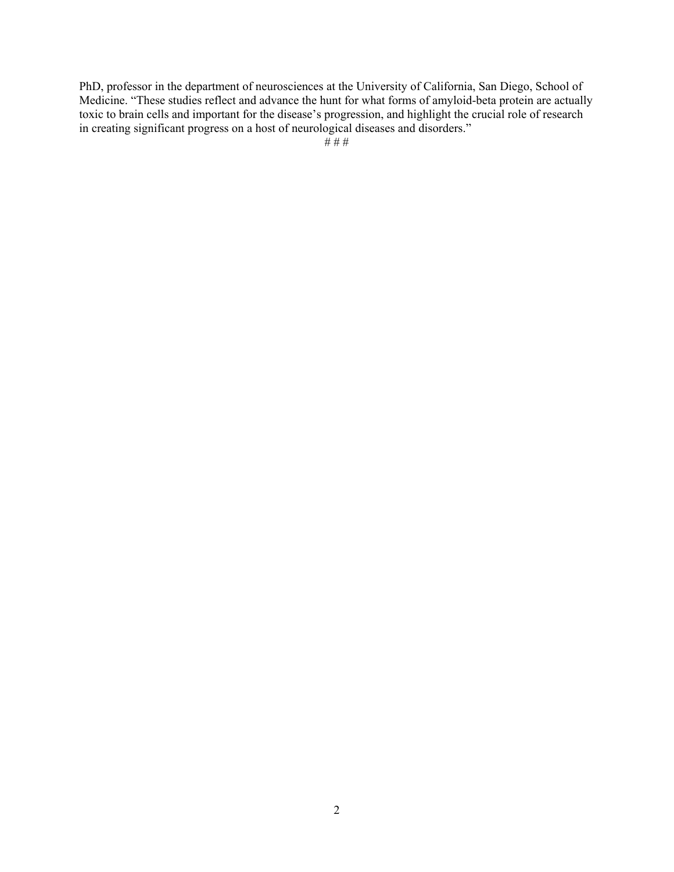PhD, professor in the department of neurosciences at the University of California, San Diego, School of Medicine. "These studies reflect and advance the hunt for what forms of amyloid-beta protein are actually toxic to brain cells and important for the disease's progression, and highlight the crucial role of research in creating significant progress on a host of neurological diseases and disorders."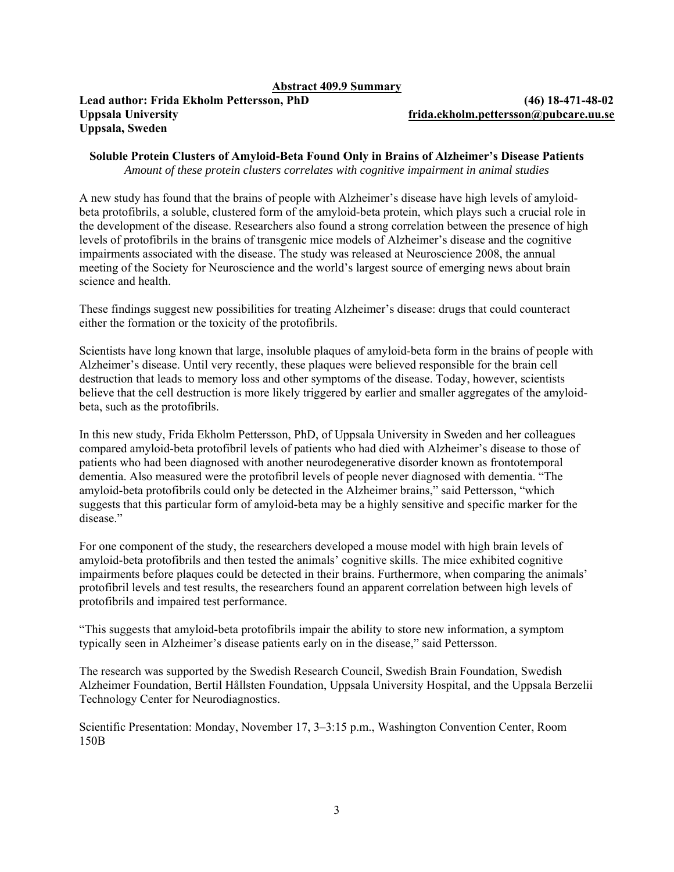#### **Abstract 409.9 Summary**

#### **Lead author: Frida Ekholm Pettersson, PhD (46) 18-471-48-02 Uppsala University [frida.ekholm.pettersson@pubcare.uu.se](mailto:frida.ekholm.pettersson@pubcare.uu.se) Uppsala, Sweden**

**Soluble Protein Clusters of Amyloid-Beta Found Only in Brains of Alzheimer's Disease Patients**  *Amount of these protein clusters correlates with cognitive impairment in animal studies* 

A new study has found that the brains of people with Alzheimer's disease have high levels of amyloidbeta protofibrils, a soluble, clustered form of the amyloid-beta protein, which plays such a crucial role in the development of the disease. Researchers also found a strong correlation between the presence of high levels of protofibrils in the brains of transgenic mice models of Alzheimer's disease and the cognitive impairments associated with the disease. The study was released at Neuroscience 2008, the annual meeting of the Society for Neuroscience and the world's largest source of emerging news about brain science and health.

These findings suggest new possibilities for treating Alzheimer's disease: drugs that could counteract either the formation or the toxicity of the protofibrils.

Scientists have long known that large, insoluble plaques of amyloid-beta form in the brains of people with Alzheimer's disease. Until very recently, these plaques were believed responsible for the brain cell destruction that leads to memory loss and other symptoms of the disease. Today, however, scientists believe that the cell destruction is more likely triggered by earlier and smaller aggregates of the amyloidbeta, such as the protofibrils.

In this new study, Frida Ekholm Pettersson, PhD, of Uppsala University in Sweden and her colleagues compared amyloid-beta protofibril levels of patients who had died with Alzheimer's disease to those of patients who had been diagnosed with another neurodegenerative disorder known as frontotemporal dementia. Also measured were the protofibril levels of people never diagnosed with dementia. "The amyloid-beta protofibrils could only be detected in the Alzheimer brains," said Pettersson, "which suggests that this particular form of amyloid-beta may be a highly sensitive and specific marker for the disease."

For one component of the study, the researchers developed a mouse model with high brain levels of amyloid-beta protofibrils and then tested the animals' cognitive skills. The mice exhibited cognitive impairments before plaques could be detected in their brains. Furthermore, when comparing the animals' protofibril levels and test results, the researchers found an apparent correlation between high levels of protofibrils and impaired test performance.

"This suggests that amyloid-beta protofibrils impair the ability to store new information, a symptom typically seen in Alzheimer's disease patients early on in the disease," said Pettersson.

The research was supported by the Swedish Research Council, Swedish Brain Foundation, Swedish Alzheimer Foundation, Bertil Hållsten Foundation, Uppsala University Hospital, and the Uppsala Berzelii Technology Center for Neurodiagnostics.

Scientific Presentation: Monday, November 17, 3–3:15 p.m., Washington Convention Center, Room 150B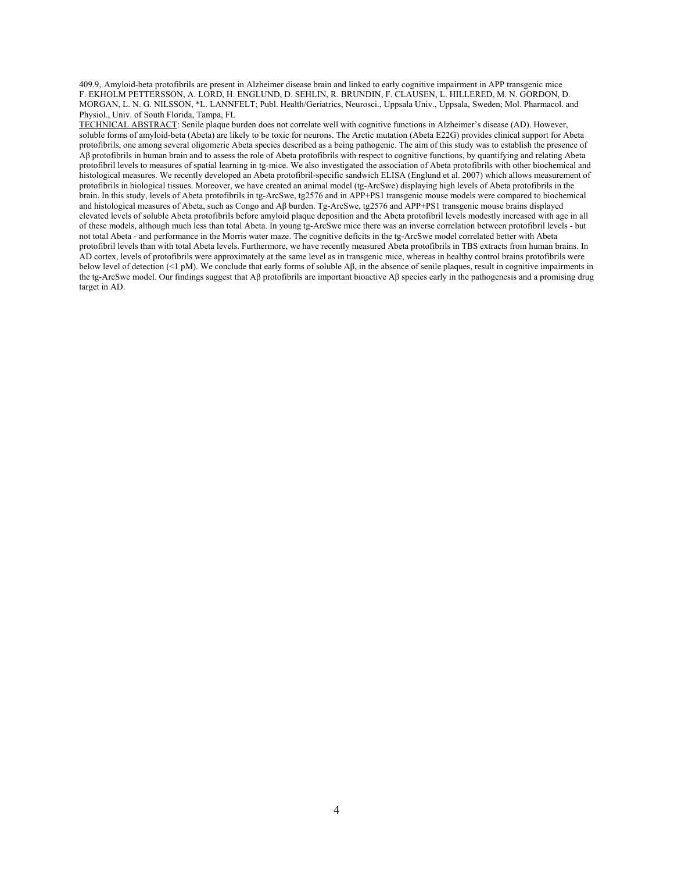409.9, Amyloid-beta protofibrils are present in Alzheimer disease brain and linked to early cognitive impairment in APP transgenic mice F. EKHOLM PETTERSSON, A. LORD, H. ENGLUND, D. SEHLIN, R. BRUNDIN, F. CLAUSEN, L. HILLERED, M. N. GORDON, D. MORGAN, L. N. G. NILSSON, \*L. LANNFELT; Publ. Health/Geriatrics, Neurosci., Uppsala Univ., Uppsala, Sweden; Mol. Pharmacol. and Physiol., Univ. of South Florida, Tampa, FL

TECHNICAL ABSTRACT: Senile plaque burden does not correlate well with cognitive functions in Alzheimer's disease (AD). However, soluble forms of amyloid-beta (Abeta) are likely to be toxic for neurons. The Arctic mutation (Abeta E22G) provides clinical support for Abeta protofibrils, one among several oligomeric Abeta species described as a being pathogenic. The aim of this study was to establish the presence of Aβ protofibrils in human brain and to assess the role of Abeta protofibrils with respect to cognitive functions, by quantifying and relating Abeta protofibril levels to measures of spatial learning in tg-mice. We also investigated the association of Abeta protofibrils with other biochemical and histological measures. We recently developed an Abeta protofibril-specific sandwich ELISA (Englund et al. 2007) which allows measurement of protofibrils in biological tissues. Moreover, we have created an animal model (tg-ArcSwe) displaying high levels of Abeta protofibrils in the brain. In this study, levels of Abeta protofibrils in tg-ArcSwe, tg2576 and in APP+PS1 transgenic mouse models were compared to biochemical and histological measures of Abeta, such as Congo and Aβ burden. Tg-ArcSwe, tg2576 and APP+PS1 transgenic mouse brains displayed elevated levels of soluble Abeta protofibrils before amyloid plaque deposition and the Abeta protofibril levels modestly increased with age in all of these models, although much less than total Abeta. In young tg-ArcSwe mice there was an inverse correlation between protofibril levels - but not total Abeta - and performance in the Morris water maze. The cognitive deficits in the tg-ArcSwe model correlated better with Abeta protofibril levels than with total Abeta levels. Furthermore, we have recently measured Abeta protofibrils in TBS extracts from human brains. In AD cortex, levels of protofibrils were approximately at the same level as in transgenic mice, whereas in healthy control brains protofibrils were below level of detection (<1 pM). We conclude that early forms of soluble Aβ, in the absence of senile plaques, result in cognitive impairments in the tg-ArcSwe model. Our findings suggest that Aβ protofibrils are important bioactive Aβ species early in the pathogenesis and a promising drug target in AD.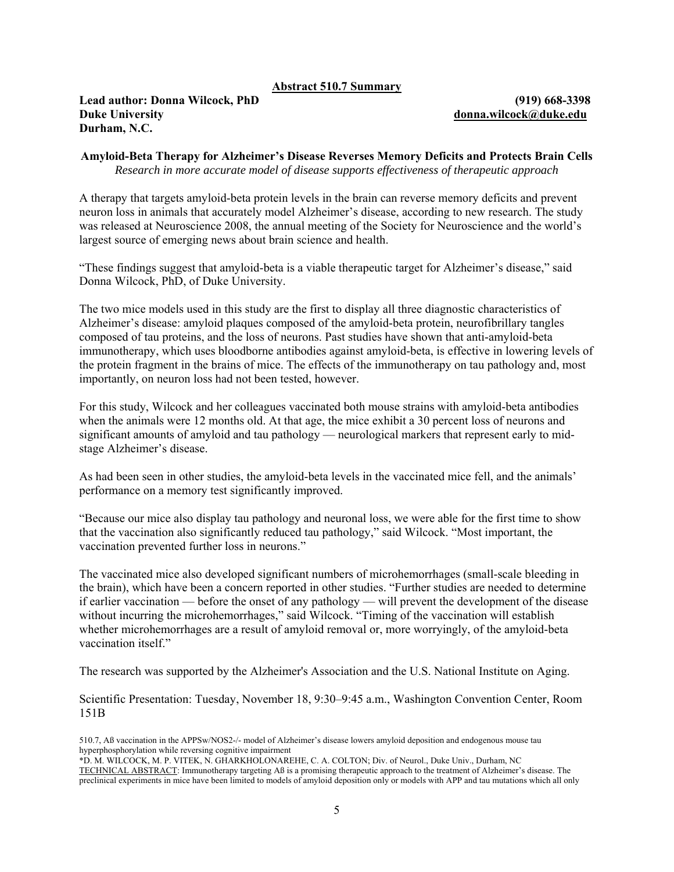#### **Abstract 510.7 Summary**

## **Lead author: Donna Wilcock, PhD (919) 668-3398 Duke University [donna.wilcock@duke.edu](mailto:donna.wilcock@duke.edu) Durham, N.C.**

### **Amyloid-Beta Therapy for Alzheimer's Disease Reverses Memory Deficits and Protects Brain Cells**  *Research in more accurate model of disease supports effectiveness of therapeutic approach*

A therapy that targets amyloid-beta protein levels in the brain can reverse memory deficits and prevent neuron loss in animals that accurately model Alzheimer's disease, according to new research. The study was released at Neuroscience 2008, the annual meeting of the Society for Neuroscience and the world's largest source of emerging news about brain science and health.

"These findings suggest that amyloid-beta is a viable therapeutic target for Alzheimer's disease," said Donna Wilcock, PhD, of Duke University.

The two mice models used in this study are the first to display all three diagnostic characteristics of Alzheimer's disease: amyloid plaques composed of the amyloid-beta protein, neurofibrillary tangles composed of tau proteins, and the loss of neurons. Past studies have shown that anti-amyloid-beta immunotherapy, which uses bloodborne antibodies against amyloid-beta, is effective in lowering levels of the protein fragment in the brains of mice. The effects of the immunotherapy on tau pathology and, most importantly, on neuron loss had not been tested, however.

For this study, Wilcock and her colleagues vaccinated both mouse strains with amyloid-beta antibodies when the animals were 12 months old. At that age, the mice exhibit a 30 percent loss of neurons and significant amounts of amyloid and tau pathology — neurological markers that represent early to midstage Alzheimer's disease.

As had been seen in other studies, the amyloid-beta levels in the vaccinated mice fell, and the animals' performance on a memory test significantly improved.

"Because our mice also display tau pathology and neuronal loss, we were able for the first time to show that the vaccination also significantly reduced tau pathology," said Wilcock. "Most important, the vaccination prevented further loss in neurons."

The vaccinated mice also developed significant numbers of microhemorrhages (small-scale bleeding in the brain), which have been a concern reported in other studies. "Further studies are needed to determine if earlier vaccination — before the onset of any pathology — will prevent the development of the disease without incurring the microhemorrhages," said Wilcock. "Timing of the vaccination will establish whether microhemorrhages are a result of amyloid removal or, more worryingly, of the amyloid-beta vaccination itself"

The research was supported by the Alzheimer's Association and the U.S. National Institute on Aging.

Scientific Presentation: Tuesday, November 18, 9:30–9:45 a.m., Washington Convention Center, Room 151B

<sup>510.7,</sup> Aß vaccination in the APPSw/NOS2-/- model of Alzheimer's disease lowers amyloid deposition and endogenous mouse tau hyperphosphorylation while reversing cognitive impairment

<sup>\*</sup>D. M. WILCOCK, M. P. VITEK, N. GHARKHOLONAREHE, C. A. COLTON; Div. of Neurol., Duke Univ., Durham, NC TECHNICAL ABSTRACT: Immunotherapy targeting Aß is a promising therapeutic approach to the treatment of Alzheimer's disease. The preclinical experiments in mice have been limited to models of amyloid deposition only or models with APP and tau mutations which all only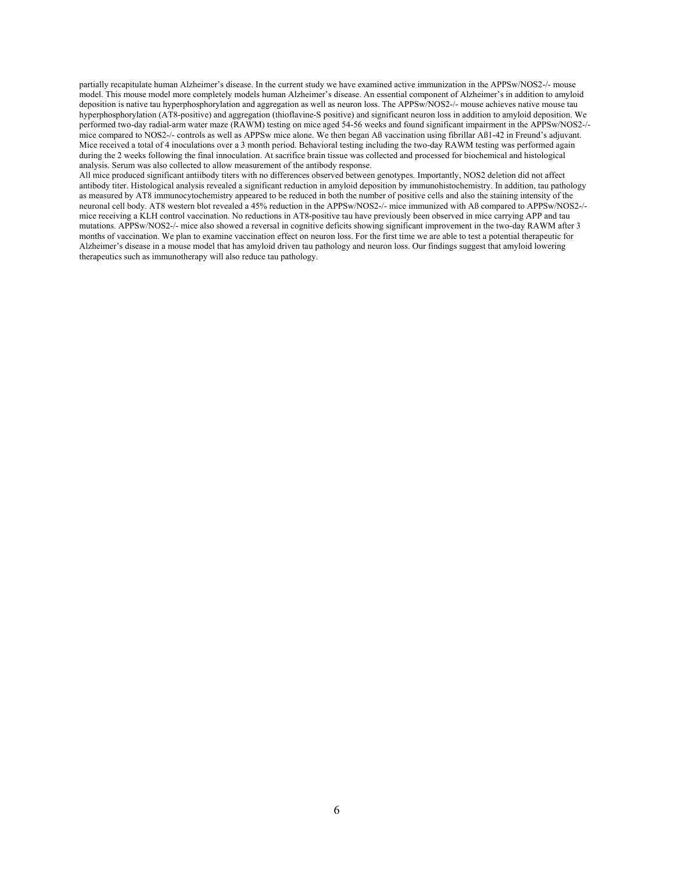partially recapitulate human Alzheimer's disease. In the current study we have examined active immunization in the APPSw/NOS2-/- mouse model. This mouse model more completely models human Alzheimer's disease. An essential component of Alzheimer's in addition to amyloid deposition is native tau hyperphosphorylation and aggregation as well as neuron loss. The APPSw/NOS2-/- mouse achieves native mouse tau hyperphosphorylation (AT8-positive) and aggregation (thioflavine-S positive) and significant neuron loss in addition to amyloid deposition. We performed two-day radial-arm water maze (RAWM) testing on mice aged 54-56 weeks and found significant impairment in the APPSw/NOS2-/ mice compared to NOS2-/- controls as well as APPSw mice alone. We then began Aß vaccination using fibrillar Aß1-42 in Freund's adjuvant. Mice received a total of 4 inoculations over a 3 month period. Behavioral testing including the two-day RAWM testing was performed again during the 2 weeks following the final innoculation. At sacrifice brain tissue was collected and processed for biochemical and histological analysis. Serum was also collected to allow measurement of the antibody response.

All mice produced significant antiibody titers with no differences observed between genotypes. Importantly, NOS2 deletion did not affect antibody titer. Histological analysis revealed a significant reduction in amyloid deposition by immunohistochemistry. In addition, tau pathology as measured by AT8 immunocytochemistry appeared to be reduced in both the number of positive cells and also the staining intensity of the neuronal cell body. AT8 western blot revealed a 45% reduction in the APPSw/NOS2-/- mice immunized with Aß compared to APPSw/NOS2-/ mice receiving a KLH control vaccination. No reductions in AT8-positive tau have previously been observed in mice carrying APP and tau mutations. APPSw/NOS2-/- mice also showed a reversal in cognitive deficits showing significant improvement in the two-day RAWM after 3 months of vaccination. We plan to examine vaccination effect on neuron loss. For the first time we are able to test a potential therapeutic for Alzheimer's disease in a mouse model that has amyloid driven tau pathology and neuron loss. Our findings suggest that amyloid lowering therapeutics such as immunotherapy will also reduce tau pathology.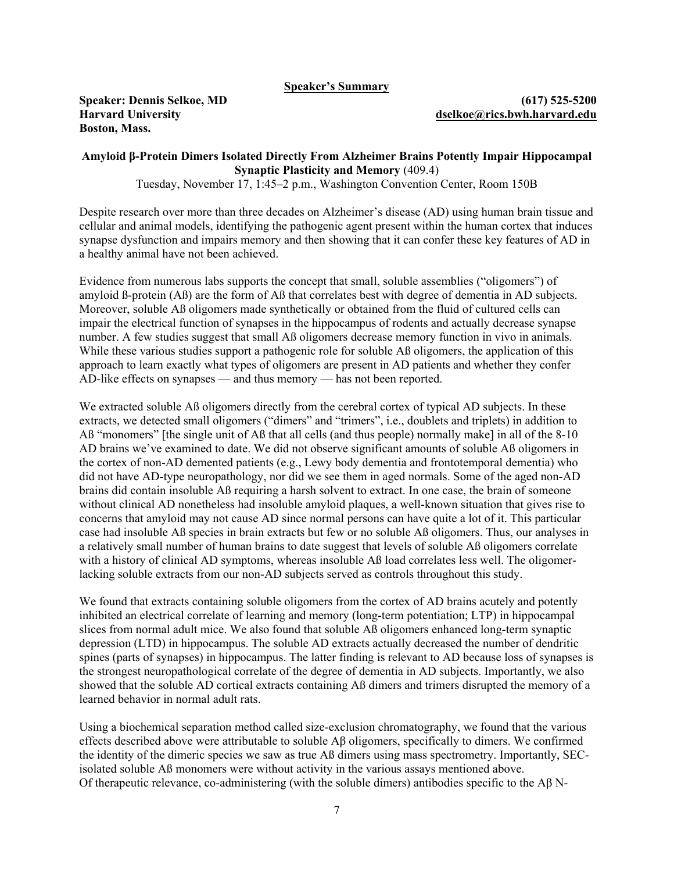**Speaker's Summary**

**Boston, Mass.** 

**Speaker: Dennis Selkoe, MD (617) 525-5200 Harvard University [dselkoe@rics.bwh.harvard.edu](mailto:dselkoe@rics.bwh.harvard.edu)** 

### **Amyloid β-Protein Dimers Isolated Directly From Alzheimer Brains Potently Impair Hippocampal Synaptic Plasticity and Memory** (409.4)

Tuesday, November 17, 1:45–2 p.m., Washington Convention Center, Room 150B

Despite research over more than three decades on Alzheimer's disease (AD) using human brain tissue and cellular and animal models, identifying the pathogenic agent present within the human cortex that induces synapse dysfunction and impairs memory and then showing that it can confer these key features of AD in a healthy animal have not been achieved.

Evidence from numerous labs supports the concept that small, soluble assemblies ("oligomers") of amyloid ß-protein (Aß) are the form of Aß that correlates best with degree of dementia in AD subjects. Moreover, soluble Aß oligomers made synthetically or obtained from the fluid of cultured cells can impair the electrical function of synapses in the hippocampus of rodents and actually decrease synapse number. A few studies suggest that small Aß oligomers decrease memory function in vivo in animals. While these various studies support a pathogenic role for soluble AB oligomers, the application of this approach to learn exactly what types of oligomers are present in AD patients and whether they confer AD-like effects on synapses — and thus memory — has not been reported.

We extracted soluble AB oligomers directly from the cerebral cortex of typical AD subjects. In these extracts, we detected small oligomers ("dimers" and "trimers", i.e., doublets and triplets) in addition to AB "monomers" [the single unit of AB that all cells (and thus people) normally make] in all of the 8-10 AD brains we've examined to date. We did not observe significant amounts of soluble Aß oligomers in the cortex of non-AD demented patients (e.g., Lewy body dementia and frontotemporal dementia) who did not have AD-type neuropathology, nor did we see them in aged normals. Some of the aged non-AD brains did contain insoluble Aß requiring a harsh solvent to extract. In one case, the brain of someone without clinical AD nonetheless had insoluble amyloid plaques, a well-known situation that gives rise to concerns that amyloid may not cause AD since normal persons can have quite a lot of it. This particular case had insoluble Aß species in brain extracts but few or no soluble Aß oligomers. Thus, our analyses in a relatively small number of human brains to date suggest that levels of soluble Aß oligomers correlate with a history of clinical AD symptoms, whereas insoluble AB load correlates less well. The oligomerlacking soluble extracts from our non-AD subjects served as controls throughout this study.

We found that extracts containing soluble oligomers from the cortex of AD brains acutely and potently inhibited an electrical correlate of learning and memory (long-term potentiation; LTP) in hippocampal slices from normal adult mice. We also found that soluble Aß oligomers enhanced long-term synaptic depression (LTD) in hippocampus. The soluble AD extracts actually decreased the number of dendritic spines (parts of synapses) in hippocampus. The latter finding is relevant to AD because loss of synapses is the strongest neuropathological correlate of the degree of dementia in AD subjects. Importantly, we also showed that the soluble AD cortical extracts containing Aß dimers and trimers disrupted the memory of a learned behavior in normal adult rats.

Using a biochemical separation method called size-exclusion chromatography, we found that the various effects described above were attributable to soluble Aβ oligomers, specifically to dimers. We confirmed the identity of the dimeric species we saw as true Aß dimers using mass spectrometry. Importantly, SECisolated soluble Aß monomers were without activity in the various assays mentioned above. Of therapeutic relevance, co-administering (with the soluble dimers) antibodies specific to the Aβ N-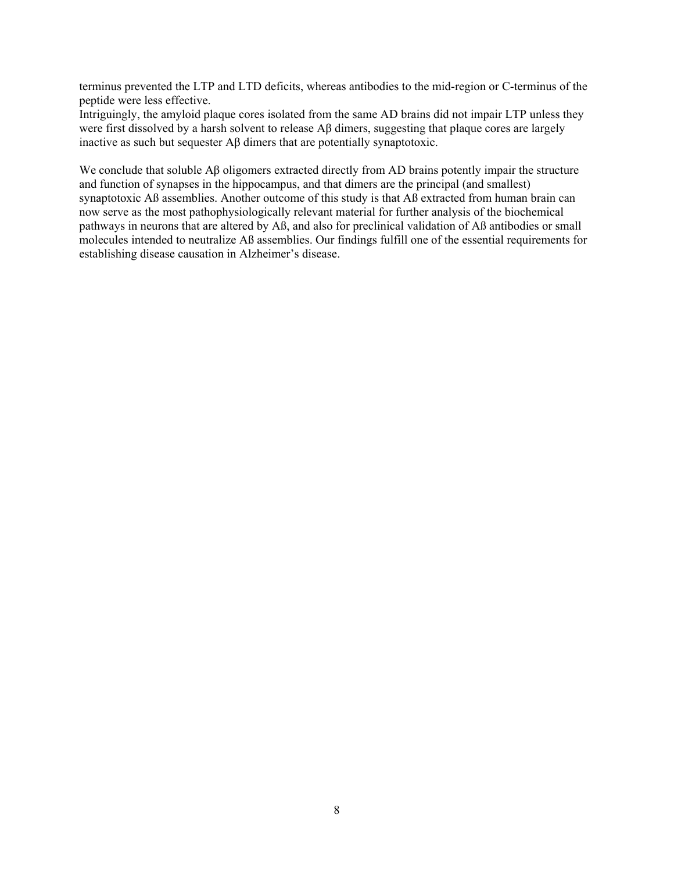terminus prevented the LTP and LTD deficits, whereas antibodies to the mid-region or C-terminus of the peptide were less effective.

Intriguingly, the amyloid plaque cores isolated from the same AD brains did not impair LTP unless they were first dissolved by a harsh solvent to release Aβ dimers, suggesting that plaque cores are largely inactive as such but sequester Aβ dimers that are potentially synaptotoxic.

We conclude that soluble Aβ oligomers extracted directly from AD brains potently impair the structure and function of synapses in the hippocampus, and that dimers are the principal (and smallest) synaptotoxic Aß assemblies. Another outcome of this study is that Aß extracted from human brain can now serve as the most pathophysiologically relevant material for further analysis of the biochemical pathways in neurons that are altered by Aß, and also for preclinical validation of Aß antibodies or small molecules intended to neutralize Aß assemblies. Our findings fulfill one of the essential requirements for establishing disease causation in Alzheimer's disease.